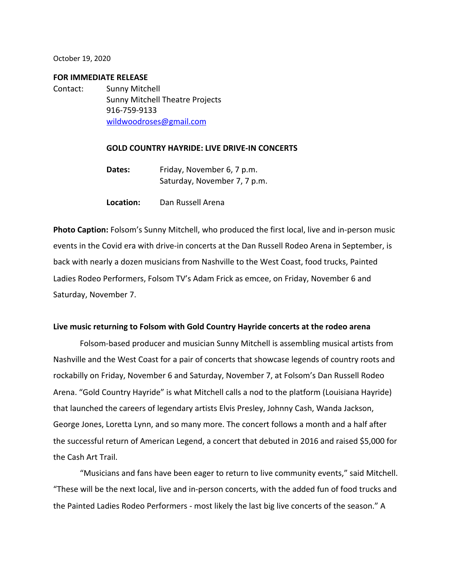October 19, 2020

## **FOR IMMEDIATE RELEASE**

Contact: Sunny Mitchell Sunny Mitchell Theatre Projects 916-759-9133 [wildwoodroses@gmail.com](mailto:wildwoodroses@gmail.com)

## **GOLD COUNTRY HAYRIDE: LIVE DRIVE-IN CONCERTS**

| Dates: | Friday, November 6, 7 p.m.   |
|--------|------------------------------|
|        | Saturday, November 7, 7 p.m. |

**Location:** Dan Russell Arena

**Photo Caption:** Folsom's Sunny Mitchell, who produced the first local, live and in-person music events in the Covid era with drive-in concerts at the Dan Russell Rodeo Arena in September, is back with nearly a dozen musicians from Nashville to the West Coast, food trucks, Painted Ladies Rodeo Performers, Folsom TV's Adam Frick as emcee, on Friday, November 6 and Saturday, November 7.

## **Live music returning to Folsom with Gold Country Hayride concerts at the rodeo arena**

Folsom-based producer and musician Sunny Mitchell is assembling musical artists from Nashville and the West Coast for a pair of concerts that showcase legends of country roots and rockabilly on Friday, November 6 and Saturday, November 7, at Folsom's Dan Russell Rodeo Arena. "Gold Country Hayride" is what Mitchell calls a nod to the platform (Louisiana Hayride) that launched the careers of legendary artists Elvis Presley, Johnny Cash, Wanda Jackson, George Jones, Loretta Lynn, and so many more. The concert follows a month and a half after the successful return of American Legend, a concert that debuted in 2016 and raised \$5,000 for the Cash Art Trail.

"Musicians and fans have been eager to return to live community events," said Mitchell. "These will be the next local, live and in-person concerts, with the added fun of food trucks and the Painted Ladies Rodeo Performers - most likely the last big live concerts of the season." A